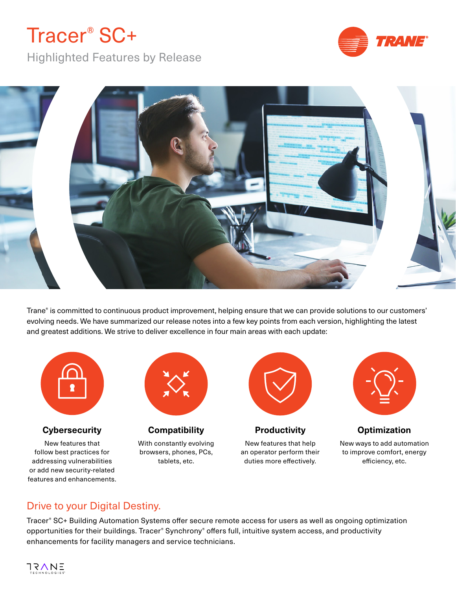# Tracer® SC+

Highlighted Features by Release





Trane® is committed to continuous product improvement, helping ensure that we can provide solutions to our customers' evolving needs. We have summarized our release notes into a few key points from each version, highlighting the latest and greatest additions. We strive to deliver excellence in four main areas with each update:



# Drive to your Digital Destiny.

features and enhancements.

Tracer® SC+ Building Automation Systems offer secure remote access for users as well as ongoing optimization opportunities for their buildings. Tracer® Synchrony® offers full, intuitive system access, and productivity enhancements for facility managers and service technicians.

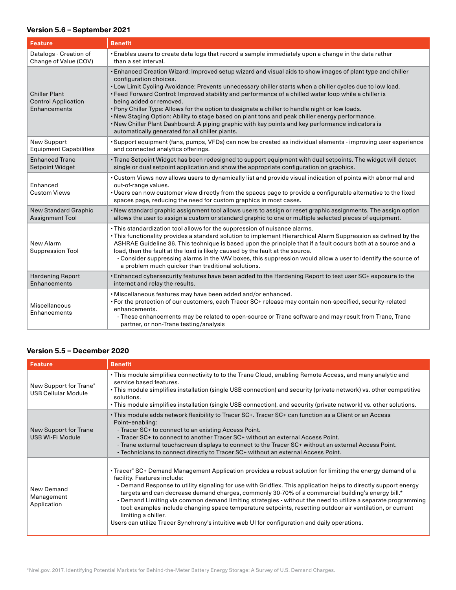### **Version 5.6 – September 2021**

| <b>Feature</b>                                                     | <b>Benefit</b>                                                                                                                                                                                                                                                                                                                                                                                                                                                                                                                                                                                                                                                                                                                                      |
|--------------------------------------------------------------------|-----------------------------------------------------------------------------------------------------------------------------------------------------------------------------------------------------------------------------------------------------------------------------------------------------------------------------------------------------------------------------------------------------------------------------------------------------------------------------------------------------------------------------------------------------------------------------------------------------------------------------------------------------------------------------------------------------------------------------------------------------|
| Datalogs - Creation of                                             | • Enables users to create data logs that record a sample immediately upon a change in the data rather                                                                                                                                                                                                                                                                                                                                                                                                                                                                                                                                                                                                                                               |
| Change of Value (COV)                                              | than a set interval.                                                                                                                                                                                                                                                                                                                                                                                                                                                                                                                                                                                                                                                                                                                                |
| <b>Chiller Plant</b><br><b>Control Application</b><br>Enhancements | • Enhanced Creation Wizard: Improved setup wizard and visual aids to show images of plant type and chiller<br>configuration choices.<br>• Low Limit Cycling Avoidance: Prevents unnecessary chiller starts when a chiller cycles due to low load.<br>• Feed Forward Control: Improved stability and performance of a chilled water loop while a chiller is<br>being added or removed.<br>. Pony Chiller Type: Allows for the option to designate a chiller to handle night or low loads.<br>. New Staging Option: Ability to stage based on plant tons and peak chiller energy performance.<br>• New Chiller Plant Dashboard: A piping graphic with key points and key performance indicators is<br>automatically generated for all chiller plants. |
| <b>New Support</b>                                                 | • Support equipment (fans, pumps, VFDs) can now be created as individual elements - improving user experience                                                                                                                                                                                                                                                                                                                                                                                                                                                                                                                                                                                                                                       |
| <b>Equipment Capabilities</b>                                      | and connected analytics offerings.                                                                                                                                                                                                                                                                                                                                                                                                                                                                                                                                                                                                                                                                                                                  |
| <b>Enhanced Trane</b>                                              | · Trane Setpoint Widget has been redesigned to support equipment with dual setpoints. The widget will detect                                                                                                                                                                                                                                                                                                                                                                                                                                                                                                                                                                                                                                        |
| <b>Setpoint Widget</b>                                             | single or dual setpoint application and show the appropriate configuration on graphics.                                                                                                                                                                                                                                                                                                                                                                                                                                                                                                                                                                                                                                                             |
| Enhanced<br><b>Custom Views</b>                                    | • Custom Views now allows users to dynamically list and provide visual indication of points with abnormal and<br>out-of-range values.<br>• Users can now customer view directly from the spaces page to provide a configurable alternative to the fixed<br>spaces page, reducing the need for custom graphics in most cases.                                                                                                                                                                                                                                                                                                                                                                                                                        |
| <b>New Standard Graphic</b>                                        | • New standard graphic assignment tool allows users to assign or reset graphic assignments. The assign option                                                                                                                                                                                                                                                                                                                                                                                                                                                                                                                                                                                                                                       |
| <b>Assignment Tool</b>                                             | allows the user to assign a custom or standard graphic to one or multiple selected pieces of equipment.                                                                                                                                                                                                                                                                                                                                                                                                                                                                                                                                                                                                                                             |
| New Alarm<br><b>Suppression Tool</b>                               | . This standardization tool allows for the suppression of nuisance alarms.<br>. This functionality provides a standard solution to implement Hierarchical Alarm Suppression as defined by the<br>ASHRAE Guideline 36. This technique is based upon the principle that if a fault occurs both at a source and a<br>load, then the fault at the load is likely caused by the fault at the source.<br>- Consider suppressing alarms in the VAV boxes, this suppression would allow a user to identify the source of<br>a problem much quicker than traditional solutions.                                                                                                                                                                              |
| <b>Hardening Report</b>                                            | . Enhanced cybersecurity features have been added to the Hardening Report to test user SC+ exposure to the                                                                                                                                                                                                                                                                                                                                                                                                                                                                                                                                                                                                                                          |
| Enhancements                                                       | internet and relay the results.                                                                                                                                                                                                                                                                                                                                                                                                                                                                                                                                                                                                                                                                                                                     |
| Miscellaneous<br>Enhancements                                      | · Miscellaneous features may have been added and/or enhanced.<br>• For the protection of our customers, each Tracer SC+ release may contain non-specified, security-related<br>enhancements.<br>- These enhancements may be related to open-source or Trane software and may result from Trane, Trane<br>partner, or non-Trane testing/analysis                                                                                                                                                                                                                                                                                                                                                                                                     |

# **Version 5.5 – December 2020**

| <b>Feature</b>                                       | <b>Benefit</b>                                                                                                                                                                                                                                                                                                                                                                                                                                                                                                                                                                                                                                                                                                          |
|------------------------------------------------------|-------------------------------------------------------------------------------------------------------------------------------------------------------------------------------------------------------------------------------------------------------------------------------------------------------------------------------------------------------------------------------------------------------------------------------------------------------------------------------------------------------------------------------------------------------------------------------------------------------------------------------------------------------------------------------------------------------------------------|
| New Support for Trane®<br><b>USB Cellular Module</b> | • This module simplifies connectivity to to the Trane Cloud, enabling Remote Access, and many analytic and<br>service based features.<br>• This module simplifies installation (single USB connection) and security (private network) vs. other competitive<br>solutions.<br>• This module simplifies installation (single USB connection), and security (private network) vs. other solutions.                                                                                                                                                                                                                                                                                                                         |
| New Support for Trane<br>USB Wi-Fi Module            | • This module adds network flexibility to Tracer SC+. Tracer SC+ can function as a Client or an Access<br>Point-enabling:<br>- Tracer SC+ to connect to an existing Access Point.<br>- Tracer SC+ to connect to another Tracer SC+ without an external Access Point.<br>- Trane external touchscreen displays to connect to the Tracer SC+ without an external Access Point.<br>- Technicians to connect directly to Tracer SC+ without an external Access Point.                                                                                                                                                                                                                                                       |
| New Demand<br>Management<br>Application              | • Tracer® SC+ Demand Management Application provides a robust solution for limiting the energy demand of a<br>facility. Features include:<br>- Demand Response to utility signaling for use with Gridflex. This application helps to directly support energy<br>targets and can decrease demand charges, commonly 30-70% of a commercial building's energy bill.*<br>- Demand Limiting via common demand limiting strategies - without the need to utilize a separate programming<br>tool: examples include changing space temperature setpoints, resetting outdoor air ventilation, or current<br>limiting a chiller.<br>Users can utilize Tracer Synchrony's intuitive web UI for configuration and daily operations. |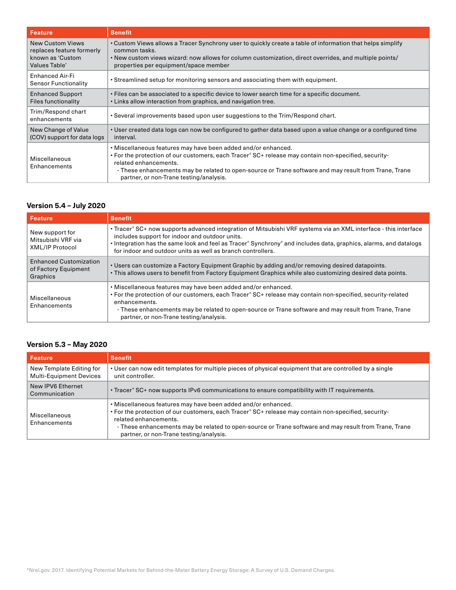| <b>Feature</b>                                                                            | <b>Benefit</b>                                                                                                                                                                                                                                                                                                                                     |
|-------------------------------------------------------------------------------------------|----------------------------------------------------------------------------------------------------------------------------------------------------------------------------------------------------------------------------------------------------------------------------------------------------------------------------------------------------|
| <b>New Custom Views</b><br>replaces feature formerly<br>known as 'Custom<br>Values Table' | • Custom Views allows a Tracer Synchrony user to quickly create a table of information that helps simplify<br>common tasks.<br>• New custom views wizard: now allows for column customization, direct overrides, and multiple points/<br>properties per equipment/space member                                                                     |
| <b>Enhanced Air-Fi</b><br><b>Sensor Functionality</b>                                     | • Streamlined setup for monitoring sensors and associating them with equipment.                                                                                                                                                                                                                                                                    |
| <b>Enhanced Support</b><br>Files functionality                                            | • Files can be associated to a specific device to lower search time for a specific document.<br>• Links allow interaction from graphics, and navigation tree.                                                                                                                                                                                      |
| Trim/Respond chart<br>enhancements                                                        | • Several improvements based upon user suggestions to the Trim/Respond chart.                                                                                                                                                                                                                                                                      |
| New Change of Value<br>(COV) support for data logs                                        | • User created data logs can now be configured to gather data based upon a value change or a configured time<br>interval.                                                                                                                                                                                                                          |
| Miscellaneous<br>Enhancements                                                             | . Miscellaneous features may have been added and/or enhanced.<br>• For the protection of our customers, each Tracer® SC+ release may contain non-specified, security-<br>related enhancements.<br>- These enhancements may be related to open-source or Trane software and may result from Trane, Trane<br>partner, or non-Trane testing/analysis. |

# **Version 5.4 – July 2020**

| Feature                                                           | <b>Benefit</b>                                                                                                                                                                                                                                                                                                                                                               |
|-------------------------------------------------------------------|------------------------------------------------------------------------------------------------------------------------------------------------------------------------------------------------------------------------------------------------------------------------------------------------------------------------------------------------------------------------------|
| New support for<br>Mitsubishi VRF via<br><b>XML/IP Protocol</b>   | • Tracer® SC+ now supports advanced integration of Mitsubishi VRF systems via an XML interface - this interface<br>includes support for indoor and outdoor units.<br>• Integration has the same look and feel as Tracer <sup>®</sup> Synchrony <sup>®</sup> and includes data, graphics, alarms, and datalogs<br>for indoor and outdoor units as well as branch controllers. |
| <b>Enhanced Customization</b><br>of Factory Equipment<br>Graphics | . Users can customize a Factory Equipment Graphic by adding and/or removing desired datapoints.<br>. This allows users to benefit from Factory Equipment Graphics while also customizing desired data points.                                                                                                                                                                |
| Miscellaneous<br>Enhancements                                     | . Miscellaneous features may have been added and/or enhanced.<br>• For the protection of our customers, each Tracer <sup>®</sup> SC+ release may contain non-specified, security-related<br>enhancements.<br>- These enhancements may be related to open-source or Trane software and may result from Trane, Trane<br>partner, or non-Trane testing/analysis.                |

# **Version 5.3 – May 2020**

| <b>Feature</b>                                             | <b>Benefit</b>                                                                                                                                                                                                                                                                                                                                     |
|------------------------------------------------------------|----------------------------------------------------------------------------------------------------------------------------------------------------------------------------------------------------------------------------------------------------------------------------------------------------------------------------------------------------|
| New Template Editing for<br><b>Multi-Equipment Devices</b> | • User can now edit templates for multiple pieces of physical equipment that are controlled by a single<br>unit controller.                                                                                                                                                                                                                        |
| New IPV6 Ethernet<br>Communication                         | • Tracer <sup>®</sup> SC+ now supports IPv6 communications to ensure compatibility with IT requirements.                                                                                                                                                                                                                                           |
| Miscellaneous<br>Enhancements                              | • Miscellaneous features may have been added and/or enhanced.<br>• For the protection of our customers, each Tracer® SC+ release may contain non-specified, security-<br>related enhancements.<br>- These enhancements may be related to open-source or Trane software and may result from Trane, Trane<br>partner, or non-Trane testing/analysis. |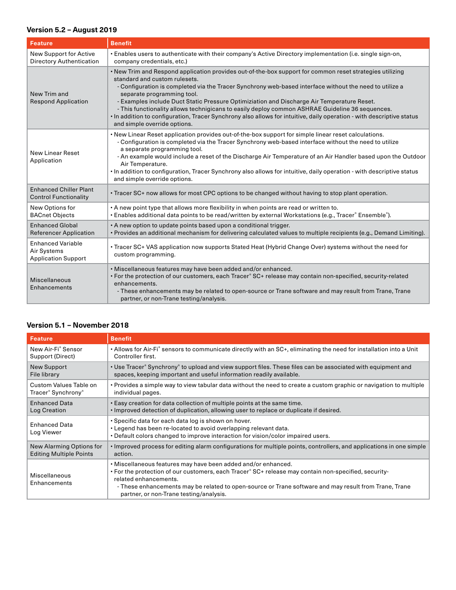# **Version 5.2 – August 2019**

| <b>Feature</b>                                                        | <b>Benefit</b>                                                                                                                                                                                                                                                                                                                                                                                                                                                                                                                                                                                                                               |
|-----------------------------------------------------------------------|----------------------------------------------------------------------------------------------------------------------------------------------------------------------------------------------------------------------------------------------------------------------------------------------------------------------------------------------------------------------------------------------------------------------------------------------------------------------------------------------------------------------------------------------------------------------------------------------------------------------------------------------|
| <b>New Support for Active</b><br><b>Directory Authentication</b>      | . Enables users to authenticate with their company's Active Directory implementation (i.e. single sign-on,<br>company credentials, etc.)                                                                                                                                                                                                                                                                                                                                                                                                                                                                                                     |
| New Trim and<br><b>Respond Application</b>                            | . New Trim and Respond application provides out-of-the-box support for common reset strategies utilizing<br>standard and custom rulesets.<br>- Configuration is completed via the Tracer Synchrony web-based interface without the need to utilize a<br>separate programming tool.<br>- Examples include Duct Static Pressure Optimiziation and Discharge Air Temperature Reset.<br>- This functionality allows technigicans to easily deploy common ASHRAE Guideline 36 sequences.<br>. In addition to configuration, Tracer Synchrony also allows for intuitive, daily operation - with descriptive status<br>and simple override options. |
| <b>New Linear Reset</b><br>Application                                | . New Linear Reset application provides out-of-the-box support for simple linear reset calculations.<br>- Configuration is completed via the Tracer Synchrony web-based interface without the need to utilize<br>a separate programming tool.<br>- An example would include a reset of the Discharge Air Temperature of an Air Handler based upon the Outdoor<br>Air Temperature.<br>. In addition to configuration, Tracer Synchrony also allows for intuitive, daily operation - with descriptive status<br>and simple override options.                                                                                                   |
| <b>Enhanced Chiller Plant</b><br><b>Control Functionality</b>         | • Tracer SC+ now allows for most CPC options to be changed without having to stop plant operation.                                                                                                                                                                                                                                                                                                                                                                                                                                                                                                                                           |
| New Options for<br><b>BACnet Objects</b>                              | • A new point type that allows more flexibility in when points are read or written to.<br>• Enables additional data points to be read/written by external Workstations (e.g., Tracer® Ensemble®).                                                                                                                                                                                                                                                                                                                                                                                                                                            |
| <b>Enhanced Global</b><br><b>Referencer Application</b>               | • A new option to update points based upon a conditional trigger.<br>· Provides an additional mechanism for delivering calculated values to multiple recipients (e.g., Demand Limiting).                                                                                                                                                                                                                                                                                                                                                                                                                                                     |
| <b>Enhanced Variable</b><br>Air Systems<br><b>Application Support</b> | • Tracer SC+ VAS application now supports Stated Heat (Hybrid Change Over) systems without the need for<br>custom programming.                                                                                                                                                                                                                                                                                                                                                                                                                                                                                                               |
| <b>Miscellaneous</b><br>Enhancements                                  | · Miscellaneous features may have been added and/or enhanced.<br>• For the protection of our customers, each Tracer® SC+ release may contain non-specified, security-related<br>enhancements.<br>- These enhancements may be related to open-source or Trane software and may result from Trane, Trane<br>partner, or non-Trane testing/analysis.                                                                                                                                                                                                                                                                                            |

| <b>Feature</b>                             | <b>Benefit</b>                                                                                                                                                                                                                                                                                                                                                 |
|--------------------------------------------|----------------------------------------------------------------------------------------------------------------------------------------------------------------------------------------------------------------------------------------------------------------------------------------------------------------------------------------------------------------|
| New Air-Fi <sup>®</sup> Sensor             | • Allows for Air-Fi® sensors to communicate directly with an SC+, eliminating the need for installation into a Unit                                                                                                                                                                                                                                            |
| Support (Direct)                           | Controller first.                                                                                                                                                                                                                                                                                                                                              |
| New Support                                | • Use Tracer® Synchrony® to upload and view support files. These files can be associated with equipment and                                                                                                                                                                                                                                                    |
| File library                               | spaces, keeping important and useful information readily available.                                                                                                                                                                                                                                                                                            |
| Custom Values Table on                     | • Provides a simple way to view tabular data without the need to create a custom graphic or navigation to multiple                                                                                                                                                                                                                                             |
| Tracer <sup>®</sup> Synchrony <sup>®</sup> | individual pages.                                                                                                                                                                                                                                                                                                                                              |
| <b>Enhanced Data</b>                       | . Easy creation for data collection of multiple points at the same time.                                                                                                                                                                                                                                                                                       |
| Log Creation                               | • Improved detection of duplication, allowing user to replace or duplicate if desired.                                                                                                                                                                                                                                                                         |
| <b>Enhanced Data</b><br>Log Viewer         | • Specific data for each data log is shown on hover.<br>. Legend has been re-located to avoid overlapping relevant data.<br>• Default colors changed to improve interaction for vision/color impaired users.                                                                                                                                                   |
| New Alarming Options for                   | • Improved process for editing alarm configurations for multiple points, controllers, and applications in one simple                                                                                                                                                                                                                                           |
| <b>Editing Multiple Points</b>             | action.                                                                                                                                                                                                                                                                                                                                                        |
| Miscellaneous<br>Enhancements              | . Miscellaneous features may have been added and/or enhanced.<br>• For the protection of our customers, each Tracer <sup>®</sup> SC+ release may contain non-specified, security-<br>related enhancements.<br>- These enhancements may be related to open-source or Trane software and may result from Trane, Trane<br>partner, or non-Trane testing/analysis. |

# **Version 5.1 – November 2018**